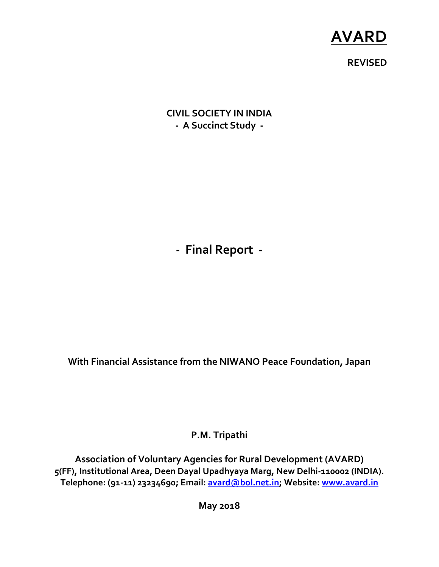# **AVARD**

## **REVISED**

**CIVIL SOCIETY IN INDIA - A Succinct Study -** 

**- Final Report -** 

**With Financial Assistance from the NIWANO Peace Foundation, Japan** 

**P.M. Tripathi** 

**Association of Voluntary Agencies for Rural Development (AVARD) 5(FF), Institutional Area, Deen Dayal Upadhyaya Marg, New Delhi-110002 (INDIA). Telephone: (91-11) 23234690; Email: avard@bol.net.in; Website: www.avard.in**

**May 2018**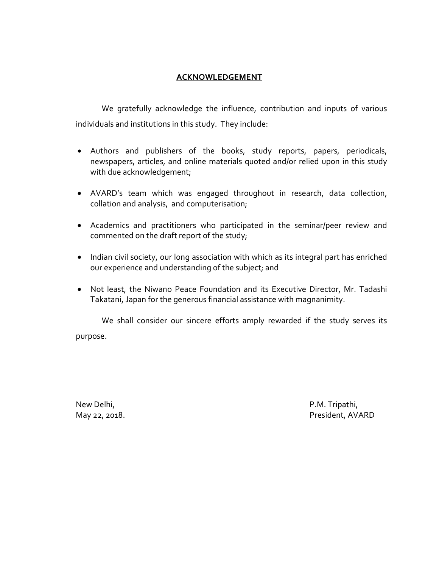#### **ACKNOWLEDGEMENT**

We gratefully acknowledge the influence, contribution and inputs of various individuals and institutions in this study. They include:

- Authors and publishers of the books, study reports, papers, periodicals, newspapers, articles, and online materials quoted and/or relied upon in this study with due acknowledgement;
- AVARD's team which was engaged throughout in research, data collection, collation and analysis, and computerisation;
- Academics and practitioners who participated in the seminar/peer review and commented on the draft report of the study;
- Indian civil society, our long association with which as its integral part has enriched our experience and understanding of the subject; and
- Not least, the Niwano Peace Foundation and its Executive Director, Mr. Tadashi Takatani, Japan for the generous financial assistance with magnanimity.

We shall consider our sincere efforts amply rewarded if the study serves its purpose.

New Delhi, P.M. Tripathi,

May 22, 2018. President, AVARD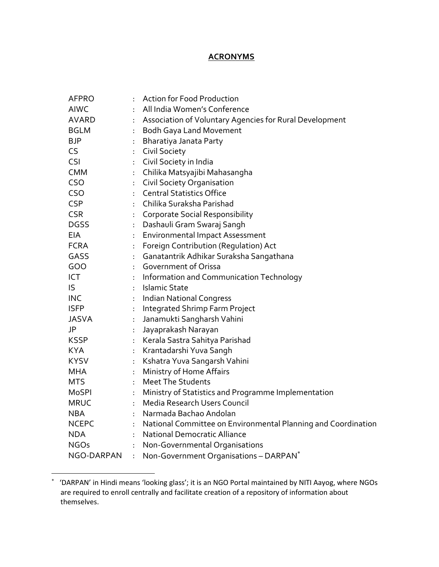### **ACRONYMS**

| <b>AFPRO</b> |    | <b>Action for Food Production</b>                             |
|--------------|----|---------------------------------------------------------------|
| <b>AIWC</b>  | ÷  | All India Women's Conference                                  |
| <b>AVARD</b> | ÷  | Association of Voluntary Agencies for Rural Development       |
| <b>BGLM</b>  | ÷. | <b>Bodh Gaya Land Movement</b>                                |
| BJP          | ÷  | Bharatiya Janata Party                                        |
| CS           | ÷  | <b>Civil Society</b>                                          |
| <b>CSI</b>   | ÷. | Civil Society in India                                        |
| CMM          | ÷. | Chilika Matsyajibi Mahasangha                                 |
| <b>CSO</b>   | ł. | <b>Civil Society Organisation</b>                             |
| <b>CSO</b>   | ÷. | <b>Central Statistics Office</b>                              |
| <b>CSP</b>   |    | : Chilika Suraksha Parishad                                   |
| <b>CSR</b>   | ł, | <b>Corporate Social Responsibility</b>                        |
| DGSS         | ÷. | Dashauli Gram Swaraj Sangh                                    |
| EIA          | ÷. | <b>Environmental Impact Assessment</b>                        |
| FCRA         | ł, | Foreign Contribution (Regulation) Act                         |
| GASS         | ÷  | Ganatantrik Adhikar Suraksha Sangathana                       |
| GOO          |    | : Government of Orissa                                        |
| ICT          | ÷. | Information and Communication Technology                      |
| IS           | ÷  | Islamic State                                                 |
| <b>INC</b>   | ÷. | <b>Indian National Congress</b>                               |
| <b>ISFP</b>  | ł, | Integrated Shrimp Farm Project                                |
| JASVA        | ł, | Janamukti Sangharsh Vahini                                    |
| JP           | ÷. | Jayaprakash Narayan                                           |
| KSSP         | ÷. | Kerala Sastra Sahitya Parishad                                |
| <b>KYA</b>   | ÷. | Krantadarshi Yuva Sangh                                       |
| KYSV         | ÷. | Kshatra Yuva Sangarsh Vahini                                  |
| MHA          | ÷. | Ministry of Home Affairs                                      |
| <b>MTS</b>   | ÷. | <b>Meet The Students</b>                                      |
| MoSPI        | ÷. | Ministry of Statistics and Programme Implementation           |
| <b>MRUC</b>  | ÷. | Media Research Users Council                                  |
| <b>NBA</b>   | ÷  | Narmada Bachao Andolan                                        |
| <b>NCEPC</b> | ÷. | National Committee on Environmental Planning and Coordination |
| <b>NDA</b>   | ÷  | National Democratic Alliance                                  |
| <b>NGOs</b>  | ł. | Non-Governmental Organisations                                |
| NGO-DARPAN   | ÷  | Non-Government Organisations - DARPAN <sup>*</sup>            |

<sup>∗</sup> 'DARPAN' in Hindi means 'looking glass'; it is an NGO Portal maintained by NITI Aayog, where NGOs are required to enroll centrally and facilitate creation of a repository of information about themselves.

-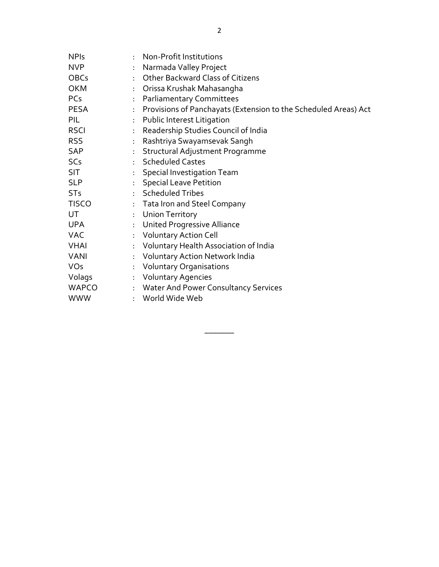| <b>NPIs</b>     | ÷             | Non-Profit Institutions                                         |
|-----------------|---------------|-----------------------------------------------------------------|
| <b>NVP</b>      | ÷             | Narmada Valley Project                                          |
| <b>OBCs</b>     |               | : Other Backward Class of Citizens                              |
| <b>OKM</b>      |               | : Orissa Krushak Mahasangha                                     |
| <b>PCs</b>      | ÷.            | <b>Parliamentary Committees</b>                                 |
| <b>PESA</b>     | ÷.            | Provisions of Panchayats (Extension to the Scheduled Areas) Act |
| PIL             | ÷             | Public Interest Litigation                                      |
| <b>RSCI</b>     | ÷             | Readership Studies Council of India                             |
| <b>RSS</b>      | ÷             | Rashtriya Swayamsevak Sangh                                     |
| SAP             | ÷             | Structural Adjustment Programme                                 |
| SC <sub>s</sub> |               | : Scheduled Castes                                              |
| <b>SIT</b>      |               | : Special Investigation Team                                    |
| <b>SLP</b>      | $\mathcal{L}$ | <b>Special Leave Petition</b>                                   |
| <b>STs</b>      |               | : Scheduled Tribes                                              |
| <b>TISCO</b>    |               | : Tata Iron and Steel Company                                   |
| UT              |               | : Union Territory                                               |
| <b>UPA</b>      | ÷             | <b>United Progressive Alliance</b>                              |
| <b>VAC</b>      | ÷.            | <b>Voluntary Action Cell</b>                                    |
| <b>VHAI</b>     | ÷             | Voluntary Health Association of India                           |
| <b>VANI</b>     | ÷             | Voluntary Action Network India                                  |
| <b>VOs</b>      |               | : Voluntary Organisations                                       |
| Volags          |               | : Voluntary Agencies                                            |
| WAPCO           |               | : Water And Power Consultancy Services                          |
| <b>WWW</b>      | $\bullet$     | World Wide Web                                                  |

\_\_\_\_\_\_\_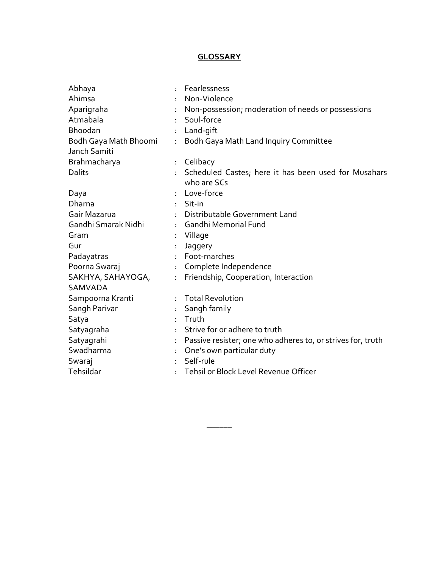## **GLOSSARY**

| Abhaya                |    | Fearlessness                                                |
|-----------------------|----|-------------------------------------------------------------|
| Ahimsa                |    | Non-Violence                                                |
| Aparigraha            |    | Non-possession; moderation of needs or possessions          |
| Atmabala              |    | Soul-force                                                  |
| Bhoodan               | ÷. | Land-gift                                                   |
| Bodh Gaya Math Bhoomi | ÷  | Bodh Gaya Math Land Inquiry Committee                       |
| Janch Samiti          |    |                                                             |
| Brahmacharya          | ÷. | Celibacy                                                    |
| Dalits                |    | Scheduled Castes; here it has been used for Musahars        |
|                       |    | who are SCs                                                 |
| Daya                  |    | Love-force                                                  |
| Dharna                |    | Sit-in                                                      |
| Gair Mazarua          | ÷  | Distributable Government Land                               |
| Gandhi Smarak Nidhi   |    | Gandhi Memorial Fund                                        |
| Gram                  | ÷. | Village                                                     |
| Gur                   | ÷. | Jaggery                                                     |
| Padayatras            |    | Foot-marches                                                |
| Poorna Swaraj         |    | Complete Independence                                       |
| SAKHYA, SAHAYOGA,     | ÷  | Friendship, Cooperation, Interaction                        |
| <b>SAMVADA</b>        |    |                                                             |
| Sampoorna Kranti      |    | <b>Total Revolution</b>                                     |
| Sangh Parivar         | ÷. | Sangh family                                                |
| Satya                 | ÷  | Truth                                                       |
| Satyagraha            |    | Strive for or adhere to truth                               |
| Satyagrahi            | ÷  | Passive resister; one who adheres to, or strives for, truth |
| Swadharma             | ÷  | One's own particular duty                                   |
| Swaraj                |    | Self-rule                                                   |
| Tehsildar             | ÷  | Tehsil or Block Level Revenue Officer                       |

\_\_\_\_\_\_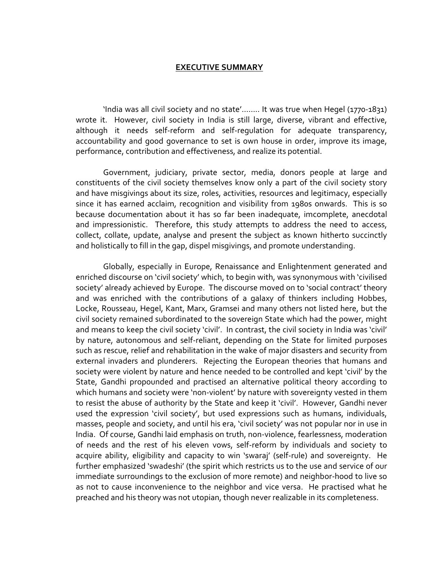#### **EXECUTIVE SUMMARY**

 'India was all civil society and no state'…….. It was true when Hegel (1770-1831) wrote it. However, civil society in India is still large, diverse, vibrant and effective, although it needs self-reform and self-regulation for adequate transparency, accountability and good governance to set is own house in order, improve its image, performance, contribution and effectiveness, and realize its potential.

 Government, judiciary, private sector, media, donors people at large and constituents of the civil society themselves know only a part of the civil society story and have misgivings about its size, roles, activities, resources and legitimacy, especially since it has earned acclaim, recognition and visibility from 1980s onwards. This is so because documentation about it has so far been inadequate, imcomplete, anecdotal and impressionistic. Therefore, this study attempts to address the need to access, collect, collate, update, analyse and present the subject as known hitherto succinctly and holistically to fill in the gap, dispel misgivings, and promote understanding.

 Globally, especially in Europe, Renaissance and Enlightenment generated and enriched discourse on 'civil society' which, to begin with, was synonymous with 'civilised society' already achieved by Europe. The discourse moved on to 'social contract' theory and was enriched with the contributions of a galaxy of thinkers including Hobbes, Locke, Rousseau, Hegel, Kant, Marx, Gramsei and many others not listed here, but the civil society remained subordinated to the sovereign State which had the power, might and means to keep the civil society 'civil'. In contrast, the civil society in India was 'civil' by nature, autonomous and self-reliant, depending on the State for limited purposes such as rescue, relief and rehabilitation in the wake of major disasters and security from external invaders and plunderers. Rejecting the European theories that humans and society were violent by nature and hence needed to be controlled and kept 'civil' by the State, Gandhi propounded and practised an alternative political theory according to which humans and society were 'non-violent' by nature with sovereignty vested in them to resist the abuse of authority by the State and keep it 'civil'. However, Gandhi never used the expression 'civil society', but used expressions such as humans, individuals, masses, people and society, and until his era, 'civil society' was not popular nor in use in India. Of course, Gandhi laid emphasis on truth, non-violence, fearlessness, moderation of needs and the rest of his eleven vows, self-reform by individuals and society to acquire ability, eligibility and capacity to win 'swaraj' (self-rule) and sovereignty. He further emphasized 'swadeshi' (the spirit which restricts us to the use and service of our immediate surroundings to the exclusion of more remote) and neighbor-hood to live so as not to cause inconvenience to the neighbor and vice versa. He practised what he preached and his theory was not utopian, though never realizable in its completeness.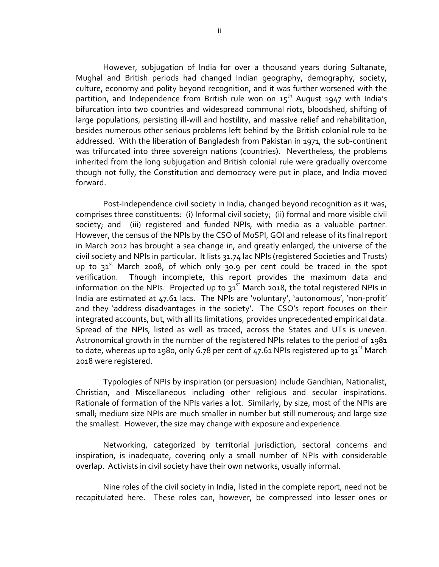However, subjugation of India for over a thousand years during Sultanate, Mughal and British periods had changed Indian geography, demography, society, culture, economy and polity beyond recognition, and it was further worsened with the partition, and Independence from British rule won on  $15^{th}$  August 1947 with India's bifurcation into two countries and widespread communal riots, bloodshed, shifting of large populations, persisting ill-will and hostility, and massive relief and rehabilitation, besides numerous other serious problems left behind by the British colonial rule to be addressed. With the liberation of Bangladesh from Pakistan in 1971, the sub-continent was trifurcated into three sovereign nations (countries). Nevertheless, the problems inherited from the long subjugation and British colonial rule were gradually overcome though not fully, the Constitution and democracy were put in place, and India moved forward.

 Post-Independence civil society in India, changed beyond recognition as it was, comprises three constituents: (i) Informal civil society; (ii) formal and more visible civil society; and (iii) registered and funded NPIs, with media as a valuable partner. However, the census of the NPIs by the CSO of MoSPI, GOI and release of its final report in March 2012 has brought a sea change in, and greatly enlarged, the universe of the civil society and NPIs in particular. It lists 31.74 lac NPIs (registered Societies and Trusts) up to  $31^{st}$  March 2008, of which only 30.9 per cent could be traced in the spot verification. Though incomplete, this report provides the maximum data and information on the NPIs. Projected up to  $31<sup>st</sup>$  March 2018, the total registered NPIs in India are estimated at 47.61 lacs. The NPIs are 'voluntary', 'autonomous', 'non-profit' and they 'address disadvantages in the society'. The CSO's report focuses on their integrated accounts, but, with all its limitations, provides unprecedented empirical data. Spread of the NPIs, listed as well as traced, across the States and UTs is uneven. Astronomical growth in the number of the registered NPIs relates to the period of 1981 to date, whereas up to 1980, only 6.78 per cent of 47.61 NPIs registered up to  $31^{st}$  March 2018 were registered.

 Typologies of NPIs by inspiration (or persuasion) include Gandhian, Nationalist, Christian, and Miscellaneous including other religious and secular inspirations. Rationale of formation of the NPIs varies a lot. Similarly, by size, most of the NPIs are small; medium size NPIs are much smaller in number but still numerous; and large size the smallest. However, the size may change with exposure and experience.

 Networking, categorized by territorial jurisdiction, sectoral concerns and inspiration, is inadequate, covering only a small number of NPIs with considerable overlap. Activists in civil society have their own networks, usually informal.

 Nine roles of the civil society in India, listed in the complete report, need not be recapitulated here. These roles can, however, be compressed into lesser ones or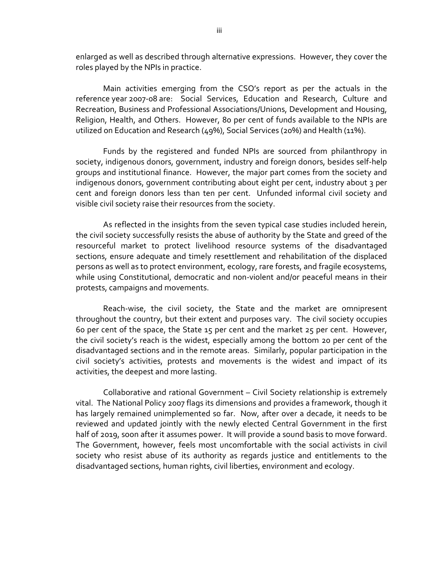enlarged as well as described through alternative expressions. However, they cover the roles played by the NPIs in practice.

 Main activities emerging from the CSO's report as per the actuals in the reference year 2007-08 are: Social Services, Education and Research, Culture and Recreation, Business and Professional Associations/Unions, Development and Housing, Religion, Health, and Others. However, 80 per cent of funds available to the NPIs are utilized on Education and Research (49%), Social Services (20%) and Health (11%).

 Funds by the registered and funded NPIs are sourced from philanthropy in society, indigenous donors, government, industry and foreign donors, besides self-help groups and institutional finance. However, the major part comes from the society and indigenous donors, government contributing about eight per cent, industry about 3 per cent and foreign donors less than ten per cent. Unfunded informal civil society and visible civil society raise their resources from the society.

 As reflected in the insights from the seven typical case studies included herein, the civil society successfully resists the abuse of authority by the State and greed of the resourceful market to protect livelihood resource systems of the disadvantaged sections, ensure adequate and timely resettlement and rehabilitation of the displaced persons as well as to protect environment, ecology, rare forests, and fragile ecosystems, while using Constitutional, democratic and non-violent and/or peaceful means in their protests, campaigns and movements.

 Reach-wise, the civil society, the State and the market are omnipresent throughout the country, but their extent and purposes vary. The civil society occupies 60 per cent of the space, the State 15 per cent and the market 25 per cent. However, the civil society's reach is the widest, especially among the bottom 20 per cent of the disadvantaged sections and in the remote areas. Similarly, popular participation in the civil society's activities, protests and movements is the widest and impact of its activities, the deepest and more lasting.

 Collaborative and rational Government – Civil Society relationship is extremely vital. The National Policy 2007 flags its dimensions and provides a framework, though it has largely remained unimplemented so far. Now, after over a decade, it needs to be reviewed and updated jointly with the newly elected Central Government in the first half of 2019, soon after it assumes power. It will provide a sound basis to move forward. The Government, however, feels most uncomfortable with the social activists in civil society who resist abuse of its authority as regards justice and entitlements to the disadvantaged sections, human rights, civil liberties, environment and ecology.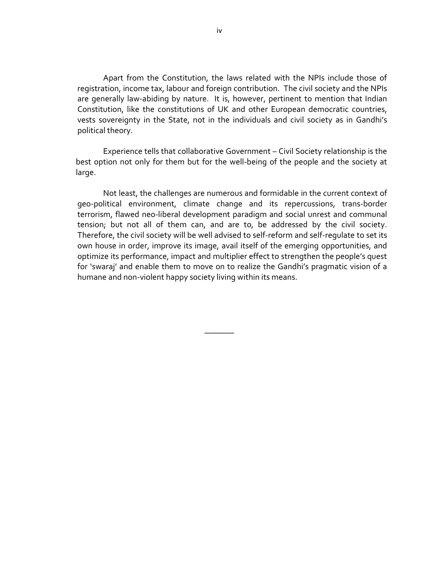Apart from the Constitution, the laws related with the NPIs include those of registration, income tax, labour and foreign contribution. The civil society and the NPIs are generally law-abiding by nature. It is, however, pertinent to mention that Indian Constitution, like the constitutions of UK and other European democratic countries, vests sovereignty in the State, not in the individuals and civil society as in Gandhi's political theory.

 Experience tells that collaborative Government – Civil Society relationship is the best option not only for them but for the well-being of the people and the society at large.

Not least, the challenges are numerous and formidable in the current context of geo-political environment, climate change and its repercussions, trans-border terrorism, flawed neo-liberal development paradigm and social unrest and communal tension; but not all of them can, and are to, be addressed by the civil society. Therefore, the civil society will be well advised to self-reform and self-regulate to set its own house in order, improve its image, avail itself of the emerging opportunities, and optimize its performance, impact and multiplier effect to strengthen the people's quest for 'swaraj' and enable them to move on to realize the Gandhi's pragmatic vision of a humane and non-violent happy society living within its means.

\_\_\_\_\_\_\_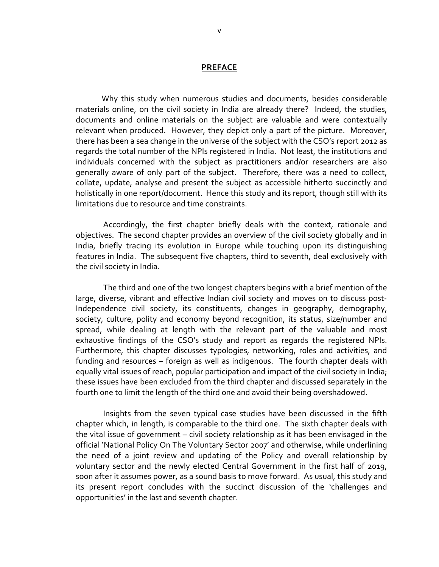#### **PREFACE**

Why this study when numerous studies and documents, besides considerable materials online, on the civil society in India are already there? Indeed, the studies, documents and online materials on the subject are valuable and were contextually relevant when produced. However, they depict only a part of the picture. Moreover, there has been a sea change in the universe of the subject with the CSO's report 2012 as regards the total number of the NPIs registered in India. Not least, the institutions and individuals concerned with the subject as practitioners and/or researchers are also generally aware of only part of the subject. Therefore, there was a need to collect, collate, update, analyse and present the subject as accessible hitherto succinctly and holistically in one report/document. Hence this study and its report, though still with its limitations due to resource and time constraints.

 Accordingly, the first chapter briefly deals with the context, rationale and objectives. The second chapter provides an overview of the civil society globally and in India, briefly tracing its evolution in Europe while touching upon its distinguishing features in India. The subsequent five chapters, third to seventh, deal exclusively with the civil society in India.

 The third and one of the two longest chapters begins with a brief mention of the large, diverse, vibrant and effective Indian civil society and moves on to discuss post-Independence civil society, its constituents, changes in geography, demography, society, culture, polity and economy beyond recognition, its status, size/number and spread, while dealing at length with the relevant part of the valuable and most exhaustive findings of the CSO's study and report as regards the registered NPIs. Furthermore, this chapter discusses typologies, networking, roles and activities, and funding and resources – foreign as well as indigenous. The fourth chapter deals with equally vital issues of reach, popular participation and impact of the civil society in India; these issues have been excluded from the third chapter and discussed separately in the fourth one to limit the length of the third one and avoid their being overshadowed.

 Insights from the seven typical case studies have been discussed in the fifth chapter which, in length, is comparable to the third one. The sixth chapter deals with the vital issue of government – civil society relationship as it has been envisaged in the official 'National Policy On The Voluntary Sector 2007' and otherwise, while underlining the need of a joint review and updating of the Policy and overall relationship by voluntary sector and the newly elected Central Government in the first half of 2019, soon after it assumes power, as a sound basis to move forward. As usual, this study and its present report concludes with the succinct discussion of the 'challenges and opportunities' in the last and seventh chapter.